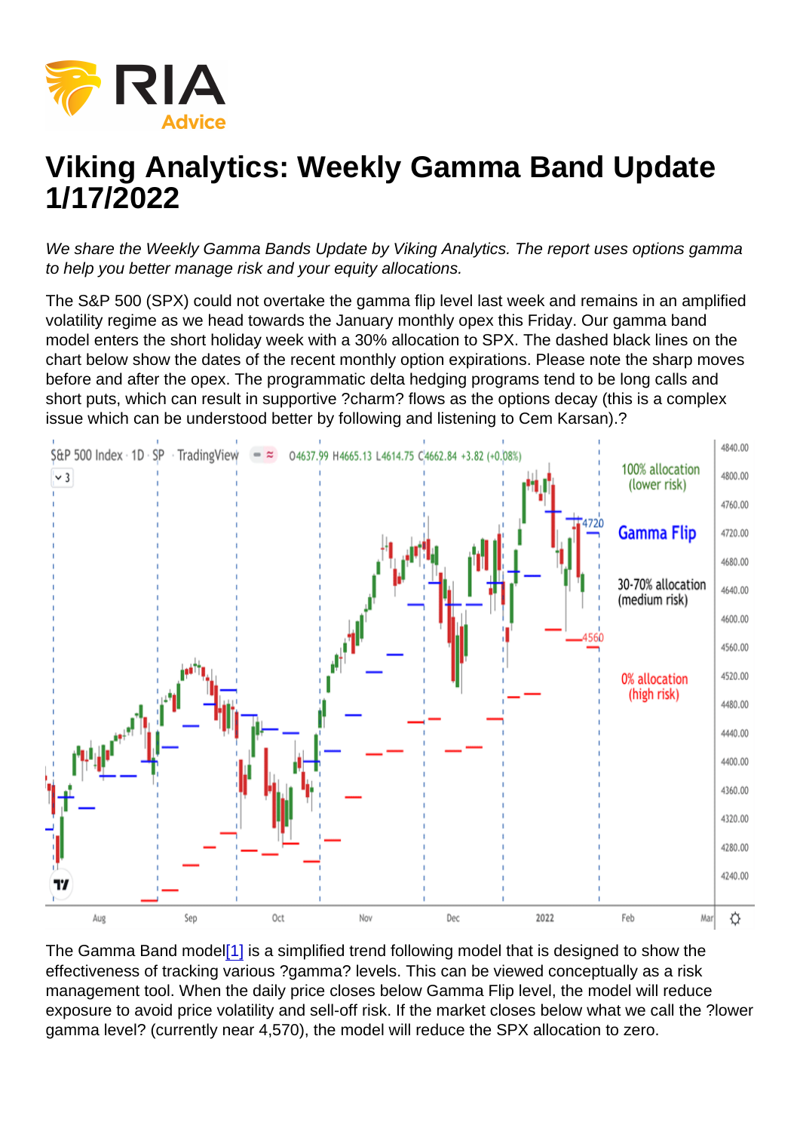# <span id="page-0-0"></span>Viking Analytics: Weekly Gamma Band Update 1/17/2022

We share the Weekly Gamma Bands Update by Viking Analytics. The report uses options gamma to help you better manage risk and your equity allocations.

The S&P 500 (SPX) could not overtake the gamma flip level last week and remains in an amplified volatility regime as we head towards the January monthly opex this Friday. Our gamma band model enters the short holiday week with a 30% allocation to SPX. The dashed black lines on the chart below show the dates of the recent monthly option expirations. Please note the sharp moves before and after the opex. The programmatic delta hedging programs tend to be long calls and short puts, which can result in supportive ?charm? flows as the options decay (this is a complex issue which can be understood better by following and listening to Cem Karsan).?

The Gamma Band model<sup>[1]</sup> is a simplified trend following model that is designed to show the effectiveness of tracking various ?gamma? levels. This can be viewed conceptually as a risk management tool. When the daily price closes below Gamma Flip level, the model will reduce exposure to avoid price volatility and sell-off risk. If the market closes below what we call the ?lower gamma level? (currently near 4,570), the model will reduce the SPX allocation to zero.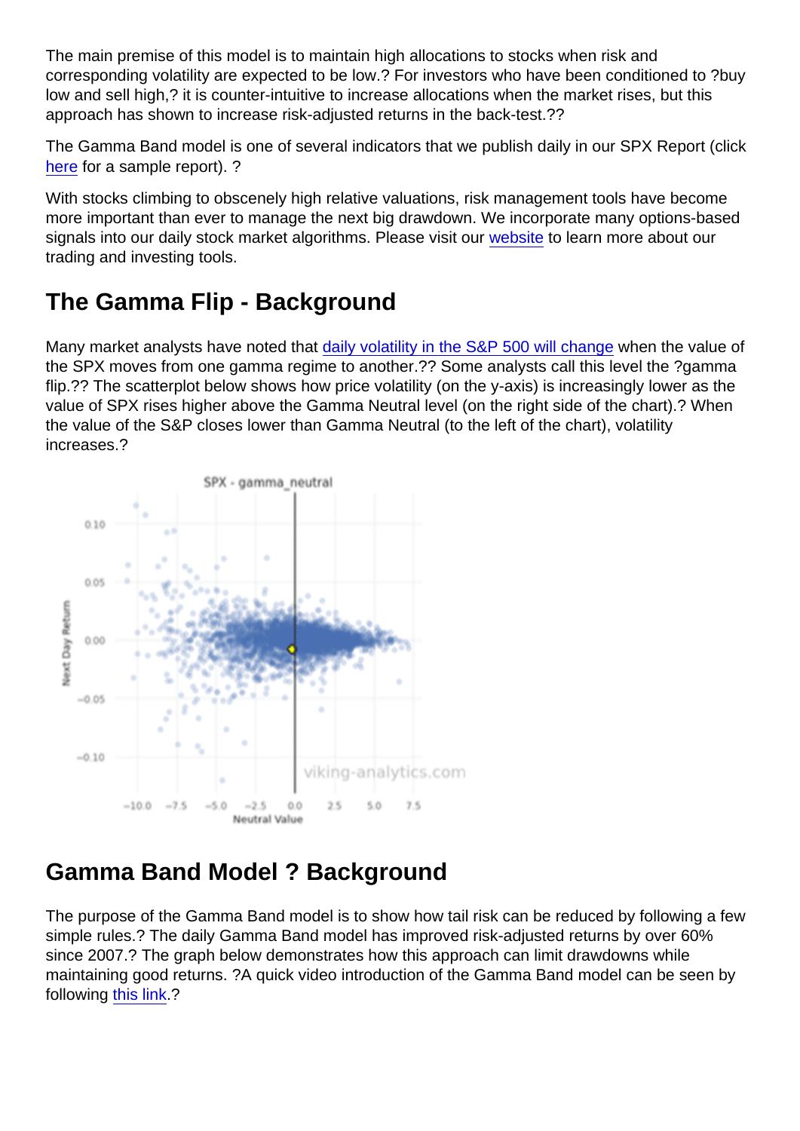The main premise of this model is to maintain high allocations to stocks when risk and corresponding volatility are expected to be low.? For investors who have been conditioned to ?buy low and sell high,? it is counter-intuitive to increase allocations when the market rises, but this approach has shown to increase risk-adjusted returns in the back-test.??

The Gamma Band model is one of several indicators that we publish daily in our SPX Report (click [here](https://sowl.co/bujTeT) for a sample report). ?

With stocks climbing to obscenely high relative valuations, risk management tools have become more important than ever to manage the next big drawdown. We incorporate many options-based signals into our daily stock market algorithms. Please visit our [website](https://viking-analytics.com/) to learn more about our trading and investing tools.

## The Gamma Flip - Background

Many market analysts have noted that [daily volatility in the S&P 500 will change](https://www.wsj.com/articles/markets-are-calm-then-suddenly-go-crazy-some-investors-think-they-know-why-11562666400?shareToken=st3e86ec3955124ea48f33c65b52e2be75) when the value of the SPX moves from one gamma regime to another.?? Some analysts call this level the ?gamma flip.?? The scatterplot below shows how price volatility (on the y-axis) is increasingly lower as the value of SPX rises higher above the Gamma Neutral level (on the right side of the chart).? When the value of the S&P closes lower than Gamma Neutral (to the left of the chart), volatility increases.?

## Gamma Band Model ? Background

The purpose of the Gamma Band model is to show how tail risk can be reduced by following a few simple rules.? The daily Gamma Band model has improved risk-adjusted returns by over 60% since 2007.? The graph below demonstrates how this approach can limit drawdowns while maintaining good returns. ?A quick video introduction of the Gamma Band model can be seen by following [this link](https://youtu.be/VRWweBwa6XY).?